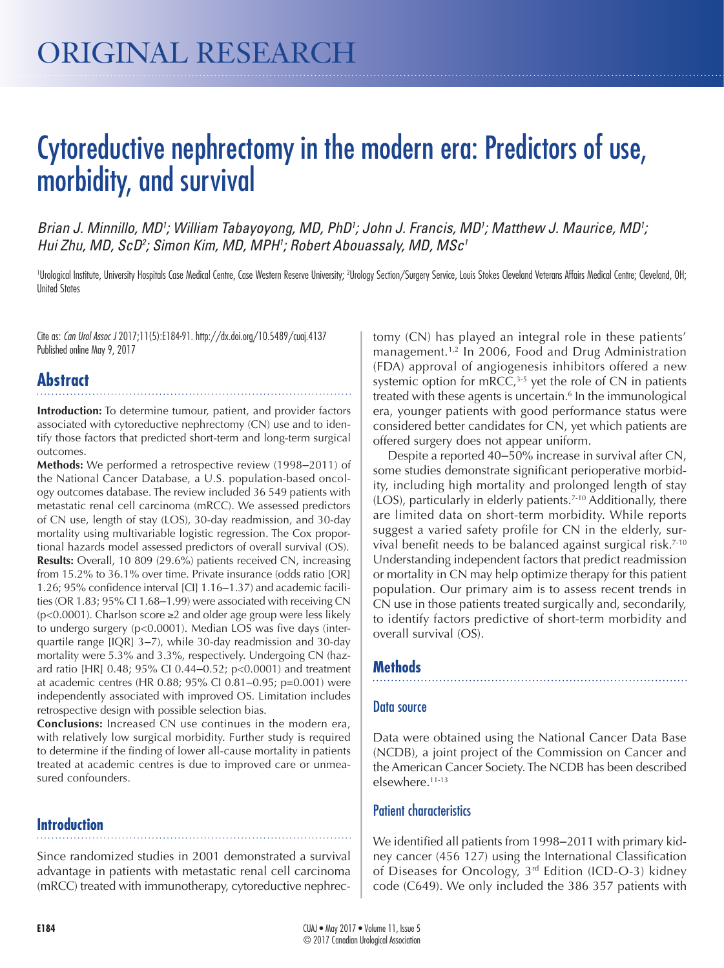# Cytoreductive nephrectomy in the modern era: Predictors of use, morbidity, and survival

Brian J. Minnillo, MD<sup>1</sup>; William Tabayoyong, MD, PhD<sup>1</sup>; John J. Francis, MD<sup>1</sup>; Matthew J. Maurice, MD<sup>1</sup>; *Hui Zhu, MD, ScD2 ; Simon Kim, MD, MPH1 ; Robert Abouassaly, MD, MSc1*

Urological Institute, University Hospitals Case Medical Centre, Case Western Reserve University; <sup>2</sup>Urology Section/Surgery Service, Louis Stokes Cleveland Veterans Affairs Medical Centre; Cleveland, OH; United States

Cite as: *Can Urol Assoc J* 2017;11(5):E184-91. http://dx.doi.org/10.5489/cuaj.4137 Published online May 9, 2017

## **Abstract**

**Introduction:** To determine tumour, patient, and provider factors associated with cytoreductive nephrectomy (CN) use and to identify those factors that predicted short-term and long-term surgical outcomes.

Methods: We performed a retrospective review (1998–2011) of the National Cancer Database, a U.S. population-based oncology outcomes database. The review included 36 549 patients with metastatic renal cell carcinoma (mRCC). We assessed predictors of CN use, length of stay (LOS), 30-day readmission, and 30-day mortality using multivariable logistic regression. The Cox proportional hazards model assessed predictors of overall survival (OS). **Results:** Overall, 10 809 (29.6%) patients received CN, increasing from 15.2% to 36.1% over time. Private insurance (odds ratio [OR] 1.26; 95% confidence interval [CI] 1.16–1.37) and academic facilities (OR 1.83; 95% CI 1.68-1.99) were associated with receiving CN (p<0.0001). Charlson score ≥2 and older age group were less likely to undergo surgery (p<0.0001). Median LOS was five days (interquartile range [IQR] 3‒7), while 30-day readmission and 30-day mortality were 5.3% and 3.3%, respectively. Undergoing CN (hazard ratio [HR] 0.48; 95% CI 0.44-0.52; p<0.0001) and treatment at academic centres (HR 0.88; 95% CI 0.81-0.95; p=0.001) were independently associated with improved OS. Limitation includes retrospective design with possible selection bias.

**Conclusions:** Increased CN use continues in the modern era, with relatively low surgical morbidity. Further study is required to determine if the finding of lower all-cause mortality in patients treated at academic centres is due to improved care or unmeasured confounders.

#### **Introduction**

Since randomized studies in 2001 demonstrated a survival advantage in patients with metastatic renal cell carcinoma (mRCC) treated with immunotherapy, cytoreductive nephrec-

tomy (CN) has played an integral role in these patients' management.<sup>1,2</sup> In 2006, Food and Drug Administration (FDA) approval of angiogenesis inhibitors offered a new systemic option for mRCC, $3-5$  yet the role of CN in patients treated with these agents is uncertain.<sup>6</sup> In the immunological era, younger patients with good performance status were considered better candidates for CN, yet which patients are offered surgery does not appear uniform.

Despite a reported 40–50% increase in survival after CN, some studies demonstrate significant perioperative morbidity, including high mortality and prolonged length of stay (LOS), particularly in elderly patients.7-10 Additionally, there are limited data on short-term morbidity. While reports suggest a varied safety profile for CN in the elderly, survival benefit needs to be balanced against surgical risk.7-10 Understanding independent factors that predict readmission or mortality in CN may help optimize therapy for this patient population. Our primary aim is to assess recent trends in CN use in those patients treated surgically and, secondarily, to identify factors predictive of short-term morbidity and overall survival (OS).

#### **Methods**

#### Data source

Data were obtained using the National Cancer Data Base (NCDB), a joint project of the Commission on Cancer and the American Cancer Society. The NCDB has been described elsewhere.11-13

#### Patient characteristics

We identified all patients from 1998-2011 with primary kidney cancer (456 127) using the International Classification of Diseases for Oncology, 3rd Edition (ICD-O-3) kidney code (C649). We only included the 386 357 patients with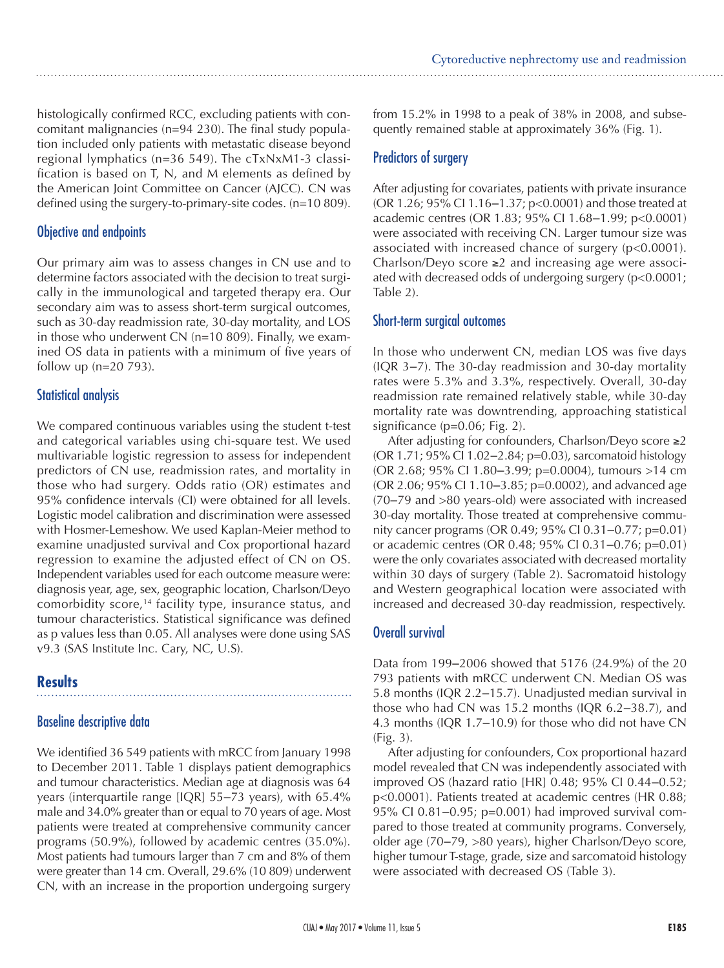histologically confirmed RCC, excluding patients with concomitant malignancies (n=94 230). The final study population included only patients with metastatic disease beyond regional lymphatics (n=36 549). The cTxNxM1-3 classification is based on T, N, and M elements as defined by the American Joint Committee on Cancer (AJCC). CN was defined using the surgery-to-primary-site codes. (n=10 809).

#### Objective and endpoints

Our primary aim was to assess changes in CN use and to determine factors associated with the decision to treat surgically in the immunological and targeted therapy era. Our secondary aim was to assess short-term surgical outcomes, such as 30-day readmission rate, 30-day mortality, and LOS in those who underwent CN (n=10 809). Finally, we examined OS data in patients with a minimum of five years of follow up (n=20 793).

#### Statistical analysis

We compared continuous variables using the student t-test and categorical variables using chi-square test. We used multivariable logistic regression to assess for independent predictors of CN use, readmission rates, and mortality in those who had surgery. Odds ratio (OR) estimates and 95% confidence intervals (CI) were obtained for all levels. Logistic model calibration and discrimination were assessed with Hosmer-Lemeshow. We used Kaplan-Meier method to examine unadjusted survival and Cox proportional hazard regression to examine the adjusted effect of CN on OS. Independent variables used for each outcome measure were: diagnosis year, age, sex, geographic location, Charlson/Deyo comorbidity score,<sup>14</sup> facility type, insurance status, and tumour characteristics. Statistical significance was defined as p values less than 0.05. All analyses were done using SAS v9.3 (SAS Institute Inc. Cary, NC, U.S).

### **Results**

#### Baseline descriptive data

We identified 36 549 patients with mRCC from January 1998 to December 2011. Table 1 displays patient demographics and tumour characteristics. Median age at diagnosis was 64 years (interquartile range [IQR] 55–73 years), with 65.4% male and 34.0% greater than or equal to 70 years of age. Most patients were treated at comprehensive community cancer programs (50.9%), followed by academic centres (35.0%). Most patients had tumours larger than 7 cm and 8% of them were greater than 14 cm. Overall, 29.6% (10 809) underwent CN, with an increase in the proportion undergoing surgery

from 15.2% in 1998 to a peak of 38% in 2008, and subsequently remained stable at approximately 36% (Fig. 1).

#### Predictors of surgery

After adjusting for covariates, patients with private insurance (OR 1.26; 95% CI 1.16‒1.37; p<0.0001) and those treated at academic centres (OR 1.83; 95% CI 1.68‒1.99; p<0.0001) were associated with receiving CN. Larger tumour size was associated with increased chance of surgery (p<0.0001). Charlson/Deyo score ≥2 and increasing age were associated with decreased odds of undergoing surgery (p<0.0001; Table 2).

#### Short-term surgical outcomes

In those who underwent CN, median LOS was five days  $( IQR 3-7)$ . The 30-day readmission and 30-day mortality rates were 5.3% and 3.3%, respectively. Overall, 30-day readmission rate remained relatively stable, while 30-day mortality rate was downtrending, approaching statistical significance (p=0.06; Fig. 2).

After adjusting for confounders, Charlson/Deyo score ≥2 (OR 1.71; 95% CI 1.02–2.84; p=0.03), sarcomatoid histology (OR 2.68; 95% CI 1.80‒3.99; p=0.0004), tumours >14 cm (OR 2.06; 95% CI 1.10‒3.85; p=0.0002), and advanced age (70‒79 and >80 years-old) were associated with increased 30-day mortality. Those treated at comprehensive community cancer programs (OR 0.49; 95% CI 0.31–0.77; p=0.01) or academic centres (OR 0.48; 95% CI 0.31-0.76; p=0.01) were the only covariates associated with decreased mortality within 30 days of surgery (Table 2). Sacromatoid histology and Western geographical location were associated with increased and decreased 30-day readmission, respectively.

#### Overall survival

Data from 199-2006 showed that 5176 (24.9%) of the 20 793 patients with mRCC underwent CN. Median OS was 5.8 months (IQR 2.2–15.7). Unadjusted median survival in those who had CN was 15.2 months (IQR  $6.2-38.7$ ), and 4.3 months (IQR 1.7–10.9) for those who did not have CN (Fig. 3).

After adjusting for confounders, Cox proportional hazard model revealed that CN was independently associated with improved OS (hazard ratio [HR] 0.48; 95% CI 0.44-0.52; p<0.0001). Patients treated at academic centres (HR 0.88; 95% CI 0.81 $-0.95$ ; p=0.001) had improved survival compared to those treated at community programs. Conversely, older age (70‒79, >80 years), higher Charlson/Deyo score, higher tumour T-stage, grade, size and sarcomatoid histology were associated with decreased OS (Table 3).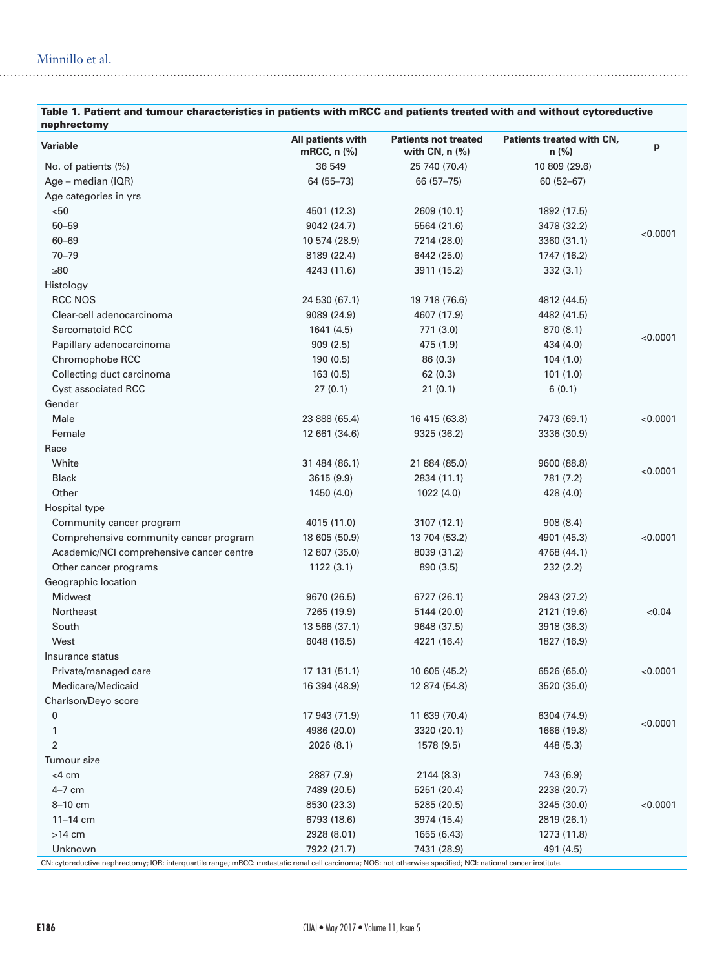#### Minnillo et al.

| nephrectomy                              |                                  |                                                 |                                      |          |  |
|------------------------------------------|----------------------------------|-------------------------------------------------|--------------------------------------|----------|--|
| Variable                                 | All patients with<br>mRCC, n (%) | <b>Patients not treated</b><br>with CN, $n$ (%) | Patients treated with CN,<br>$n$ (%) | p        |  |
| No. of patients (%)                      | 36 549                           | 25 740 (70.4)                                   | 10 809 (29.6)                        |          |  |
| $Age - median (IQR)$                     | 64 (55–73)                       | 66 (57 - 75)                                    | $60(52 - 67)$                        |          |  |
| Age categories in yrs                    |                                  |                                                 |                                      |          |  |
| $50$                                     | 4501 (12.3)                      | 2609 (10.1)                                     | 1892 (17.5)                          |          |  |
| $50 - 59$                                | 9042 (24.7)                      | 5564 (21.6)                                     | 3478 (32.2)                          |          |  |
| $60 - 69$                                | 10 574 (28.9)                    | 7214 (28.0)                                     | 3360 (31.1)                          | < 0.0001 |  |
| $70 - 79$                                | 8189 (22.4)                      | 6442 (25.0)                                     | 1747 (16.2)                          |          |  |
| $\geq 80$                                | 4243 (11.6)                      | 3911 (15.2)                                     | 332(3.1)                             |          |  |
| Histology                                |                                  |                                                 |                                      |          |  |
| RCC NOS                                  | 24 530 (67.1)                    | 19 718 (76.6)                                   | 4812 (44.5)                          |          |  |
| Clear-cell adenocarcinoma                | 9089 (24.9)                      | 4607 (17.9)                                     | 4482 (41.5)                          |          |  |
| Sarcomatoid RCC                          | 1641 (4.5)                       | 771 (3.0)                                       | 870 (8.1)                            |          |  |
| Papillary adenocarcinoma                 | 909(2.5)                         | 475 (1.9)                                       | 434 (4.0)                            | < 0.0001 |  |
| Chromophobe RCC                          | 190(0.5)                         | 86(0.3)                                         | 104(1.0)                             |          |  |
| Collecting duct carcinoma                | 163(0.5)                         | 62(0.3)                                         | 101(1.0)                             |          |  |
| Cyst associated RCC                      | 27(0.1)                          | 21(0.1)                                         | 6(0.1)                               |          |  |
| Gender                                   |                                  |                                                 |                                      |          |  |
| Male                                     | 23 888 (65.4)                    | 16 415 (63.8)                                   | 7473 (69.1)                          | < 0.0001 |  |
| Female                                   | 12 661 (34.6)                    | 9325 (36.2)                                     | 3336 (30.9)                          |          |  |
| Race                                     |                                  |                                                 |                                      |          |  |
| White                                    | 31 484 (86.1)                    | 21 884 (85.0)                                   | 9600 (88.8)                          |          |  |
| <b>Black</b>                             | 3615 (9.9)                       | 2834 (11.1)                                     | 781 (7.2)                            | < 0.0001 |  |
| Other                                    | 1450 (4.0)                       | 1022(4.0)                                       | 428 (4.0)                            |          |  |
| Hospital type                            |                                  |                                                 |                                      |          |  |
| Community cancer program                 | 4015 (11.0)                      | 3107 (12.1)                                     | 908 (8.4)                            |          |  |
| Comprehensive community cancer program   | 18 605 (50.9)                    | 13 704 (53.2)                                   | 4901 (45.3)                          | < 0.0001 |  |
| Academic/NCI comprehensive cancer centre | 12 807 (35.0)                    | 8039 (31.2)                                     | 4768 (44.1)                          |          |  |
| Other cancer programs                    | 1122(3.1)                        | 890 (3.5)                                       | 232(2.2)                             |          |  |
| Geographic location                      |                                  |                                                 |                                      |          |  |
| <b>Midwest</b>                           | 9670 (26.5)                      | 6727 (26.1)                                     | 2943 (27.2)                          |          |  |
| Northeast                                | 7265 (19.9)                      | 5144 (20.0)                                     | 2121 (19.6)                          | < 0.04   |  |
| South                                    | 13 566 (37.1)                    | 9648 (37.5)                                     | 3918 (36.3)                          |          |  |
| West                                     | 6048 (16.5)                      | 4221 (16.4)                                     | 1827 (16.9)                          |          |  |
| Insurance status                         |                                  |                                                 |                                      |          |  |
| Private/managed care                     | 17 131 (51.1)                    | 10 605 (45.2)                                   | 6526 (65.0)                          | < 0.0001 |  |
| Medicare/Medicaid                        | 16 394 (48.9)                    | 12 874 (54.8)                                   | 3520 (35.0)                          |          |  |
| Charlson/Deyo score                      |                                  |                                                 |                                      |          |  |
| 0                                        | 17 943 (71.9)                    | 11 639 (70.4)                                   | 6304 (74.9)                          |          |  |
| 1                                        | 4986 (20.0)                      | 3320 (20.1)                                     | 1666 (19.8)                          | < 0.0001 |  |
| 2                                        | 2026 (8.1)                       | 1578 (9.5)                                      | 448 (5.3)                            |          |  |
| Tumour size                              |                                  |                                                 |                                      |          |  |
| $<$ 4 cm                                 |                                  |                                                 |                                      |          |  |
| 4-7 cm                                   | 2887 (7.9)                       | 2144 (8.3)                                      | 743 (6.9)                            |          |  |
|                                          | 7489 (20.5)                      | 5251 (20.4)                                     | 2238 (20.7)                          |          |  |
| 8-10 cm                                  | 8530 (23.3)                      | 5285 (20.5)                                     | 3245 (30.0)                          | < 0.0001 |  |
| $11 - 14$ cm                             | 6793 (18.6)                      | 3974 (15.4)                                     | 2819 (26.1)                          |          |  |
| $>14$ cm                                 | 2928 (8.01)                      | 1655 (6.43)                                     | 1273 (11.8)                          |          |  |
| Unknown                                  | 7922 (21.7)                      | 7431 (28.9)                                     | 491 (4.5)                            |          |  |

# Table 1. Patient and tumour characteristics in patients with mRCC and patients treated with and without cytoreductive

CN: cytoreductive nephrectomy; IQR: interquartile range; mRCC: metastatic renal cell carcinoma; NOS: not otherwise specified; NCI: national cancer institute.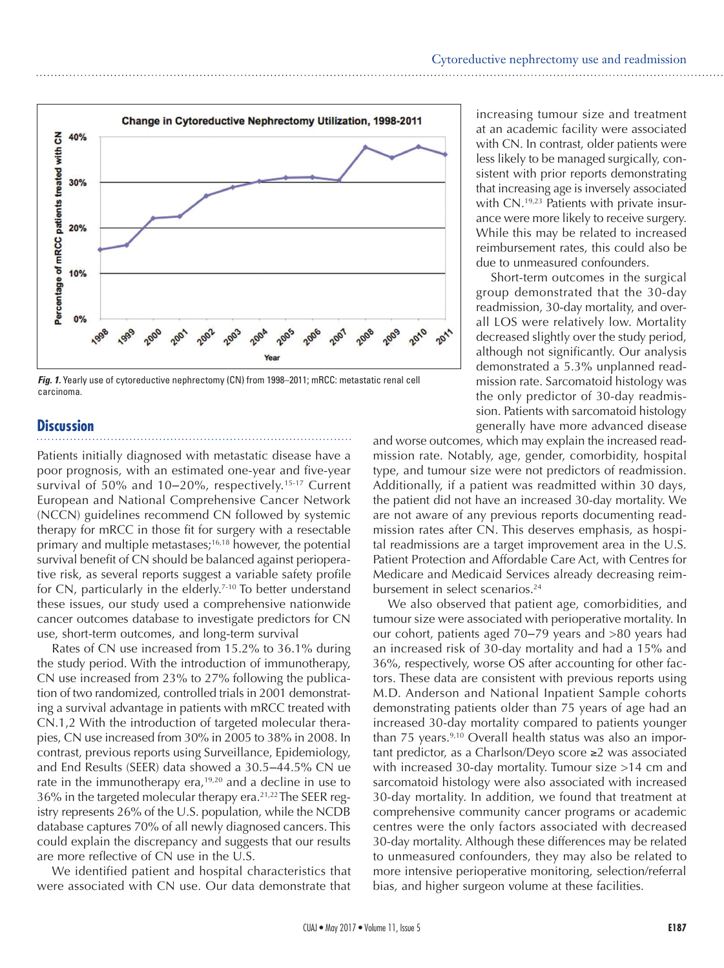

*Fig. 1.* Yearly use of cytoreductive nephrectomy (CN) from 1998–2011; mRCC: metastatic renal cell carcinoma.

#### **Discussion**

Patients initially diagnosed with metastatic disease have a poor prognosis, with an estimated one-year and five-year survival of 50% and 10–20%, respectively.<sup>15-17</sup> Current European and National Comprehensive Cancer Network (NCCN) guidelines recommend CN followed by systemic therapy for mRCC in those fit for surgery with a resectable primary and multiple metastases;16,18 however, the potential survival benefit of CN should be balanced against perioperative risk, as several reports suggest a variable safety profile for CN, particularly in the elderly.<sup>7-10</sup> To better understand these issues, our study used a comprehensive nationwide cancer outcomes database to investigate predictors for CN use, short-term outcomes, and long-term survival

Rates of CN use increased from 15.2% to 36.1% during the study period. With the introduction of immunotherapy, CN use increased from 23% to 27% following the publication of two randomized, controlled trials in 2001 demonstrating a survival advantage in patients with mRCC treated with CN.1,2 With the introduction of targeted molecular therapies, CN use increased from 30% in 2005 to 38% in 2008. In contrast, previous reports using Surveillance, Epidemiology, and End Results (SEER) data showed a 30.5-44.5% CN ue rate in the immunotherapy era,<sup>19,20</sup> and a decline in use to 36% in the targeted molecular therapy era.<sup>21,22</sup> The SEER registry represents 26% of the U.S. population, while the NCDB database captures 70% of all newly diagnosed cancers. This could explain the discrepancy and suggests that our results are more reflective of CN use in the U.S.

We identified patient and hospital characteristics that were associated with CN use. Our data demonstrate that increasing tumour size and treatment at an academic facility were associated with CN. In contrast, older patients were less likely to be managed surgically, consistent with prior reports demonstrating that increasing age is inversely associated with CN.<sup>19,23</sup> Patients with private insurance were more likely to receive surgery. While this may be related to increased reimbursement rates, this could also be due to unmeasured confounders.

Short-term outcomes in the surgical group demonstrated that the 30-day readmission, 30-day mortality, and overall LOS were relatively low. Mortality decreased slightly over the study period, although not significantly. Our analysis demonstrated a 5.3% unplanned readmission rate. Sarcomatoid histology was the only predictor of 30-day readmission. Patients with sarcomatoid histology generally have more advanced disease

and worse outcomes, which may explain the increased readmission rate. Notably, age, gender, comorbidity, hospital type, and tumour size were not predictors of readmission. Additionally, if a patient was readmitted within 30 days, the patient did not have an increased 30-day mortality. We are not aware of any previous reports documenting readmission rates after CN. This deserves emphasis, as hospital readmissions are a target improvement area in the U.S. Patient Protection and Affordable Care Act, with Centres for Medicare and Medicaid Services already decreasing reimbursement in select scenarios.<sup>24</sup>

We also observed that patient age, comorbidities, and tumour size were associated with perioperative mortality. In our cohort, patients aged 70–79 years and >80 years had an increased risk of 30-day mortality and had a 15% and 36%, respectively, worse OS after accounting for other factors. These data are consistent with previous reports using M.D. Anderson and National Inpatient Sample cohorts demonstrating patients older than 75 years of age had an increased 30-day mortality compared to patients younger than 75 years.<sup>9,10</sup> Overall health status was also an important predictor, as a Charlson/Deyo score ≥2 was associated with increased 30-day mortality. Tumour size >14 cm and sarcomatoid histology were also associated with increased 30-day mortality. In addition, we found that treatment at comprehensive community cancer programs or academic centres were the only factors associated with decreased 30-day mortality. Although these differences may be related to unmeasured confounders, they may also be related to more intensive perioperative monitoring, selection/referral bias, and higher surgeon volume at these facilities.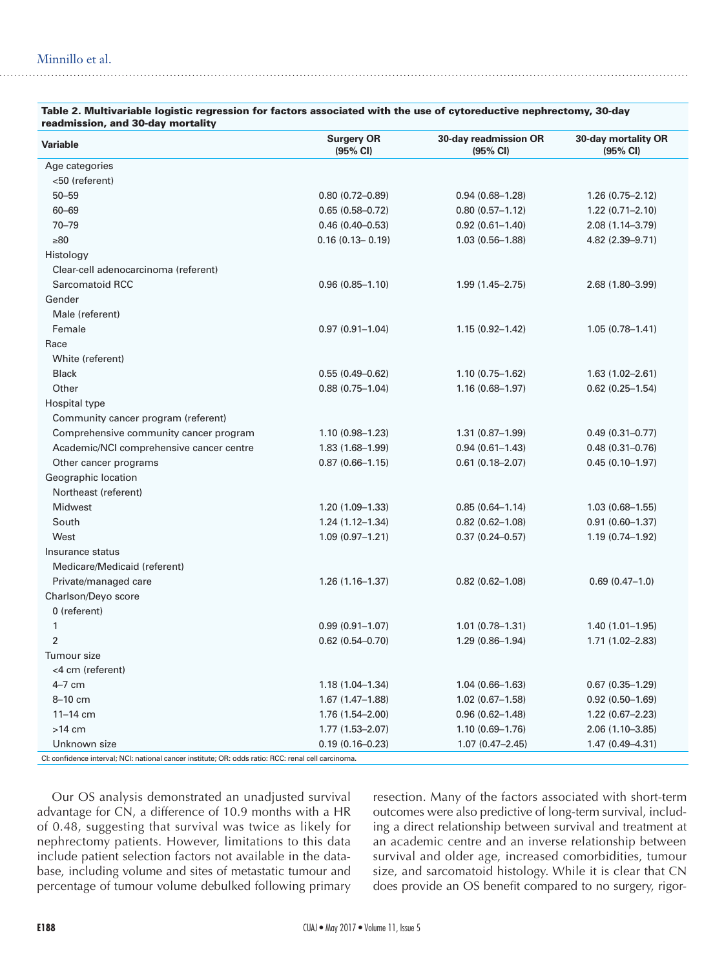| readmission, and ou-day mortanty         |                               |                                   |                                 |
|------------------------------------------|-------------------------------|-----------------------------------|---------------------------------|
| <b>Variable</b>                          | <b>Surgery OR</b><br>(95% CI) | 30-day readmission OR<br>(95% CI) | 30-day mortality OR<br>(95% CI) |
| Age categories                           |                               |                                   |                                 |
| <50 (referent)                           |                               |                                   |                                 |
| $50 - 59$                                | $0.80(0.72 - 0.89)$           | $0.94(0.68 - 1.28)$               | $1.26(0.75 - 2.12)$             |
| $60 - 69$                                | $0.65(0.58 - 0.72)$           | $0.80(0.57 - 1.12)$               | $1.22(0.71 - 2.10)$             |
| $70 - 79$                                | $0.46(0.40 - 0.53)$           | $0.92(0.61 - 1.40)$               | 2.08 (1.14-3.79)                |
| $\geq 80$                                | $0.16(0.13 - 0.19)$           | $1.03(0.56 - 1.88)$               | 4.82 (2.39-9.71)                |
| Histology                                |                               |                                   |                                 |
| Clear-cell adenocarcinoma (referent)     |                               |                                   |                                 |
| Sarcomatoid RCC                          | $0.96(0.85 - 1.10)$           | $1.99(1.45 - 2.75)$               | $2.68(1.80 - 3.99)$             |
| Gender                                   |                               |                                   |                                 |
| Male (referent)                          |                               |                                   |                                 |
| Female                                   | $0.97(0.91 - 1.04)$           | $1.15(0.92 - 1.42)$               | $1.05(0.78 - 1.41)$             |
| Race                                     |                               |                                   |                                 |
| White (referent)                         |                               |                                   |                                 |
| <b>Black</b>                             | $0.55(0.49 - 0.62)$           | $1.10(0.75 - 1.62)$               | $1.63(1.02 - 2.61)$             |
| Other                                    | $0.88(0.75 - 1.04)$           | $1.16(0.68 - 1.97)$               | $0.62$ (0.25-1.54)              |
| Hospital type                            |                               |                                   |                                 |
| Community cancer program (referent)      |                               |                                   |                                 |
| Comprehensive community cancer program   | $1.10(0.98 - 1.23)$           | $1.31(0.87 - 1.99)$               | $0.49(0.31 - 0.77)$             |
| Academic/NCI comprehensive cancer centre | $1.83(1.68 - 1.99)$           | $0.94(0.61 - 1.43)$               | $0.48(0.31 - 0.76)$             |
| Other cancer programs                    | $0.87(0.66 - 1.15)$           | $0.61(0.18 - 2.07)$               | $0.45(0.10-1.97)$               |
| Geographic location                      |                               |                                   |                                 |
| Northeast (referent)                     |                               |                                   |                                 |
| Midwest                                  | $1.20(1.09 - 1.33)$           | $0.85(0.64 - 1.14)$               | $1.03(0.68 - 1.55)$             |
| South                                    | $1.24(1.12 - 1.34)$           | $0.82(0.62 - 1.08)$               | $0.91(0.60 - 1.37)$             |
| West                                     | $1.09(0.97 - 1.21)$           | $0.37(0.24 - 0.57)$               | 1.19 (0.74-1.92)                |
| Insurance status                         |                               |                                   |                                 |
| Medicare/Medicaid (referent)             |                               |                                   |                                 |
| Private/managed care                     | $1.26(1.16 - 1.37)$           | $0.82(0.62 - 1.08)$               | $0.69(0.47-1.0)$                |
| Charlson/Deyo score                      |                               |                                   |                                 |
| 0 (referent)                             |                               |                                   |                                 |
| $\mathbf{1}$                             | $0.99(0.91 - 1.07)$           | $1.01(0.78 - 1.31)$               | $1.40(1.01 - 1.95)$             |
| $\overline{2}$                           | $0.62$ (0.54-0.70)            | $1.29(0.86 - 1.94)$               | $1.71(1.02 - 2.83)$             |
| Tumour size                              |                               |                                   |                                 |
| <4 cm (referent)                         |                               |                                   |                                 |
| $4-7$ cm                                 | $1.18(1.04 - 1.34)$           | $1.04(0.66 - 1.63)$               | $0.67(0.35 - 1.29)$             |
| 8-10 cm                                  | $1.67(1.47-1.88)$             | $1.02(0.67 - 1.58)$               | $0.92(0.50 - 1.69)$             |
| $11 - 14$ cm                             | $1.76(1.54 - 2.00)$           | $0.96(0.62 - 1.48)$               | $1.22(0.67 - 2.23)$             |
| $>14$ cm                                 | $1.77(1.53 - 2.07)$           | $1.10(0.69 - 1.76)$               | 2.06 (1.10-3.85)                |
| Unknown size                             | $0.19(0.16 - 0.23)$           | $1.07(0.47 - 2.45)$               | $1.47(0.49 - 4.31)$             |

#### Table 2. Multivariable logistic regression for factors associated with the use of cytoreductive nephrectomy, 30-day readmission, and 30-day mortality

CI: confidence interval; NCI: national cancer institute; OR: odds ratio: RCC: renal cell carcinoma.

Our OS analysis demonstrated an unadjusted survival advantage for CN, a difference of 10.9 months with a HR of 0.48, suggesting that survival was twice as likely for nephrectomy patients. However, limitations to this data include patient selection factors not available in the database, including volume and sites of metastatic tumour and percentage of tumour volume debulked following primary

resection. Many of the factors associated with short-term outcomes were also predictive of long-term survival, including a direct relationship between survival and treatment at an academic centre and an inverse relationship between survival and older age, increased comorbidities, tumour size, and sarcomatoid histology. While it is clear that CN does provide an OS benefit compared to no surgery, rigor-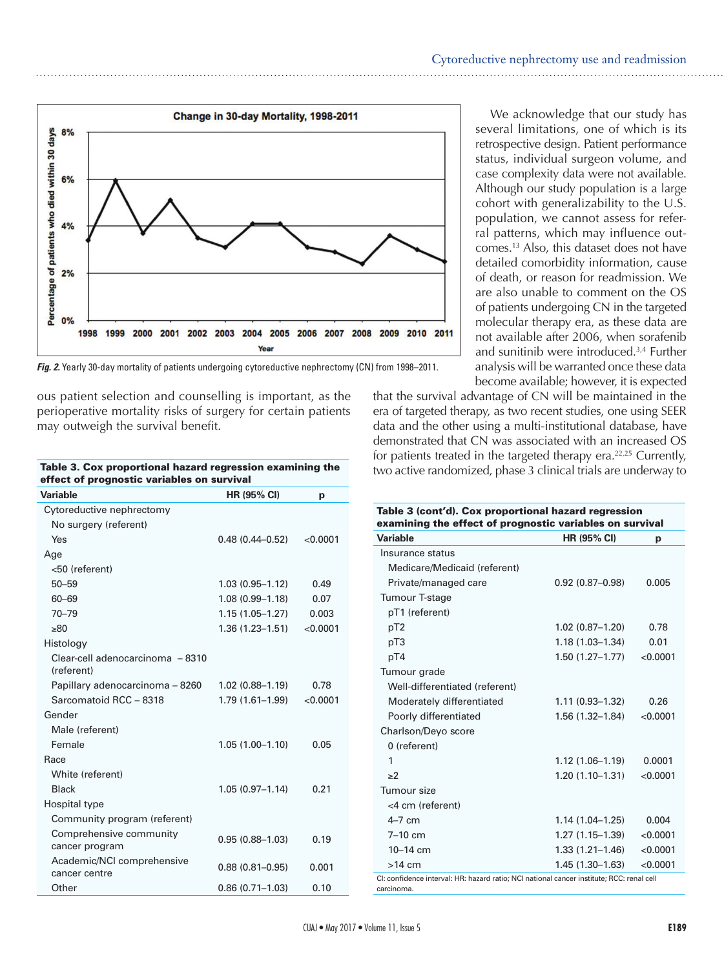

*Fig. 2.* Yearly 30-day mortality of patients undergoing cytoreductive nephrectomy (CN) from 1998–2011.

ous patient selection and counselling is important, as the perioperative mortality risks of surgery for certain patients may outweigh the survival benefit.

| effect of prognostic variables on survival     |                     |          |  |  |
|------------------------------------------------|---------------------|----------|--|--|
| Variable                                       | HR (95% CI)         | р        |  |  |
| Cytoreductive nephrectomy                      |                     |          |  |  |
| No surgery (referent)                          |                     |          |  |  |
| Yes                                            | $0.48(0.44 - 0.52)$ | < 0.0001 |  |  |
| Age                                            |                     |          |  |  |
| <50 (referent)                                 |                     |          |  |  |
| $50 - 59$                                      | $1.03(0.95 - 1.12)$ | 0.49     |  |  |
| $60 - 69$                                      | $1.08(0.99 - 1.18)$ | 0.07     |  |  |
| $70 - 79$                                      | $1.15(1.05 - 1.27)$ | 0.003    |  |  |
| >80                                            | $1.36(1.23 - 1.51)$ | < 0.0001 |  |  |
| Histology                                      |                     |          |  |  |
| Clear-cell adenocarcinoma - 8310<br>(referent) |                     |          |  |  |
| Papillary adenocarcinoma - 8260                | $1.02(0.88 - 1.19)$ | 0.78     |  |  |
| Sarcomatoid RCC - 8318                         | 1.79 (1.61-1.99)    | < 0.0001 |  |  |
| Gender                                         |                     |          |  |  |
| Male (referent)                                |                     |          |  |  |
| Female                                         | $1.05(1.00 - 1.10)$ | 0.05     |  |  |
| Race                                           |                     |          |  |  |
| White (referent)                               |                     |          |  |  |
| <b>Black</b>                                   | $1.05(0.97 - 1.14)$ | 0.21     |  |  |
| Hospital type                                  |                     |          |  |  |
| Community program (referent)                   |                     |          |  |  |
| Comprehensive community<br>cancer program      | $0.95(0.88 - 1.03)$ | 0.19     |  |  |
| Academic/NCI comprehensive<br>cancer centre    | $0.88(0.81 - 0.95)$ | 0.001    |  |  |
| Other                                          | $0.86(0.71 - 1.03)$ | 0.10     |  |  |

Table 3. Cox proportional hazard regression examining the

We acknowledge that our study has several limitations, one of which is its retrospective design. Patient performance status, individual surgeon volume, and case complexity data were not available. Although our study population is a large cohort with generalizability to the U.S. population, we cannot assess for referral patterns, which may influence outcomes.13 Also, this dataset does not have detailed comorbidity information, cause of death, or reason for readmission. We are also unable to comment on the OS of patients undergoing CN in the targeted molecular therapy era, as these data are not available after 2006, when sorafenib and sunitinib were introduced.3,4 Further analysis will be warranted once these data become available; however, it is expected

that the survival advantage of CN will be maintained in the era of targeted therapy, as two recent studies, one using SEER data and the other using a multi-institutional database, have demonstrated that CN was associated with an increased OS for patients treated in the targeted therapy era. $22,25$  Currently, two active randomized, phase 3 clinical trials are underway to

| Table 3 (cont'd). Cox proportional hazard regression<br>examining the effect of prognostic variables on survival |                     |          |  |  |
|------------------------------------------------------------------------------------------------------------------|---------------------|----------|--|--|
| <b>Variable</b>                                                                                                  | <b>HR (95% CI)</b>  | р        |  |  |
| Insurance status                                                                                                 |                     |          |  |  |
| Medicare/Medicaid (referent)                                                                                     |                     |          |  |  |
| Private/managed care                                                                                             | $0.92(0.87 - 0.98)$ | 0.005    |  |  |
| Tumour T-stage                                                                                                   |                     |          |  |  |
| pT1 (referent)                                                                                                   |                     |          |  |  |
| pT <sub>2</sub>                                                                                                  | $1.02(0.87 - 1.20)$ | 0.78     |  |  |
| pT3                                                                                                              | $1.18(1.03 - 1.34)$ | 0.01     |  |  |
| pT4                                                                                                              | $1.50(1.27 - 1.77)$ | < 0.0001 |  |  |
| Tumour grade                                                                                                     |                     |          |  |  |
| Well-differentiated (referent)                                                                                   |                     |          |  |  |
| Moderately differentiated                                                                                        | $1.11(0.93 - 1.32)$ | 0.26     |  |  |
| Poorly differentiated                                                                                            | $1.56(1.32 - 1.84)$ | < 0.0001 |  |  |
| Charlson/Deyo score                                                                                              |                     |          |  |  |
| 0 (referent)                                                                                                     |                     |          |  |  |
| 1                                                                                                                | $1.12(1.06 - 1.19)$ | 0.0001   |  |  |
| >2                                                                                                               | $1.20(1.10-1.31)$   | < 0.0001 |  |  |
| Tumour size                                                                                                      |                     |          |  |  |
| <4 cm (referent)                                                                                                 |                     |          |  |  |
| $4-7$ cm                                                                                                         | $1.14(1.04-1.25)$   | 0.004    |  |  |
| $7-10$ cm                                                                                                        | 1.27 (1.15–1.39)    | < 0.0001 |  |  |
| $10 - 14$ cm                                                                                                     | $1.33(1.21 - 1.46)$ | < 0.0001 |  |  |
| $>14$ cm                                                                                                         | $1.45(1.30-1.63)$   | < 0.0001 |  |  |
| Cl: confidence interval: HR: hazard ratio: NCI national cancer institute: RCC: renal cell                        |                     |          |  |  |

CI: confidence interval: HR: hazard ratio; NCI national cancer institute; RCC: renal cell carcinoma.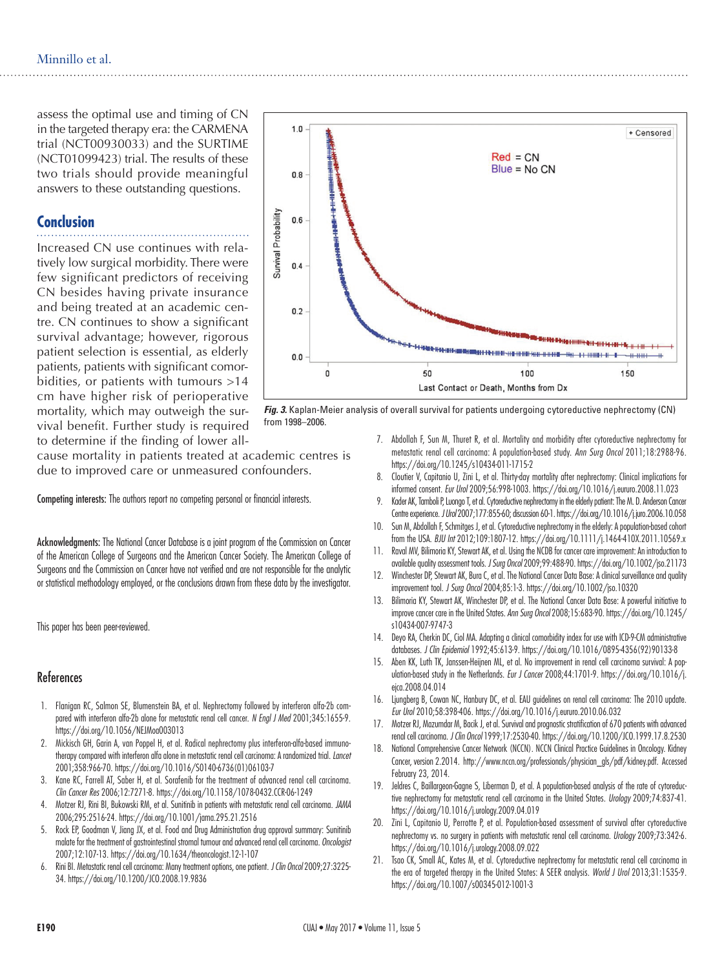assess the optimal use and timing of CN in the targeted therapy era: the CARMENA trial (NCT00930033) and the SURTIME (NCT01099423) trial. The results of these two trials should provide meaningful answers to these outstanding questions.

#### **Conclusion**

Increased CN use continues with relatively low surgical morbidity. There were few significant predictors of receiving CN besides having private insurance and being treated at an academic centre. CN continues to show a significant survival advantage; however, rigorous patient selection is essential, as elderly patients, patients with significant comorbidities, or patients with tumours >14 cm have higher risk of perioperative mortality, which may outweigh the survival benefit. Further study is required to determine if the finding of lower all-

cause mortality in patients treated at academic centres is due to improved care or unmeasured confounders.

Competing interests: The authors report no competing personal or financial interests.

Acknowledgments: The National Cancer Database is a joint program of the Commission on Cancer of the American College of Surgeons and the American Cancer Society. The American College of Surgeons and the Commission on Cancer have not verified and are not responsible for the analytic or statistical methodology employed, or the conclusions drawn from these data by the investigator.

This paper has been peer-reviewed.

#### References

- 1. Flanigan RC, Salmon SE, Blumenstein BA, et al. Nephrectomy followed by interferon alfa-2b compared with interferon alfa-2b alone for metastatic renal cell cancer. *N Engl J Med* 2001;345:1655-9. https://doi.org/10.1056/NEJMoa003013
- 2. Mickisch GH, Garin A, van Poppel H, et al. Radical nephrectomy plus interferon-alfa-based immunotherapy compared with interferon alfa alone in metastatic renal cell carcinoma: A randomized trial. *Lancet* 2001;358:966-70. https://doi.org/10.1016/S0140-6736(01)06103-7
- 3. Kane RC, Farrell AT, Saber H, et al. Sorafenib for the treatment of advanced renal cell carcinoma. *Clin Cancer Res* 2006;12:7271-8. https://doi.org/10.1158/1078-0432.CCR-06-1249
- 4. Motzer RJ, Rini BI, Bukowski RM, et al. Sunitinib in patients with metastatic renal cell carcinoma. *JAMA* 2006;295:2516-24. https://doi.org/10.1001/jama.295.21.2516
- 5. Rock EP, Goodman V, Jiang JX, et al. Food and Drug Administration drug approval summary: Sunitinib malate for the treatment of gastrointestinal stromal tumour and advanced renal cell carcinoma. *Oncologist* 2007;12:107-13. https://doi.org/10.1634/theoncologist.12-1-107
- 6. Rini BI. Metastatic renal cell carcinoma: Many treatment options, one patient. *J Clin Oncol* 2009;27:3225- 34. https://doi.org/10.1200/JCO.2008.19.9836



*Fig. 3.* Kaplan-Meier analysis of overall survival for patients undergoing cytoreductive nephrectomy (CN) from 1998–2006.

- 7. Abdollah F, Sun M, Thuret R, et al. Mortality and morbidity after cytoreductive nephrectomy for metastatic renal cell carcinoma: A population-based study. *Ann Surg Oncol* 2011;18:2988-96. https://doi.org/10.1245/s10434-011-1715-2
- 8. Cloutier V, Capitanio U, Zini L, et al. Thirty-day mortality after nephrectomy: Clinical implications for informed consent. *Eur Urol* 2009;56:998-1003. https://doi.org/10.1016/j.eururo.2008.11.023
- 9. Kader AK, Tamboli P, Luongo T, et al. Cytoreductive nephrectomy in the elderly patient: The M. D. Anderson Cancer Centre experience. *J Urol* 2007;177:855-60; discussion 60-1. https://doi.org/10.1016/j.juro.2006.10.058
- 10. Sun M, Abdollah F, Schmitges J, et al. Cytoreductive nephrectomy in the elderly: A population-based cohort from the USA. *BJU Int* 2012;109:1807-12. https://doi.org/10.1111/j.1464-410X.2011.10569.x
- 11. Raval MV, Bilimoria KY, Stewart AK, et al. Using the NCDB for cancer care improvement: An introduction to available quality assessment tools. *J Surg Oncol* 2009;99:488-90. https://doi.org/10.1002/jso.21173
- 12. Winchester DP, Stewart AK, Bura C, et al. The National Cancer Data Base: A clinical surveillance and quality improvement tool. *J Surg Oncol* 2004;85:1-3. https://doi.org/10.1002/jso.10320
- Bilimoria KY, Stewart AK, Winchester DP, et al. The National Cancer Data Base: A powerful initiative to improve cancer care in the United States. *Ann Surg Oncol* 2008;15:683-90. https://doi.org/10.1245/ s10434-007-9747-3
- 14. Deyo RA, Cherkin DC, Ciol MA. Adapting a clinical comorbidity index for use with ICD-9-CM administrative databases. *J Clin Epidemiol* 1992;45:613-9. https://doi.org/10.1016/0895-4356(92)90133-8
- 15. Aben KK, Luth TK, Janssen-Heijnen ML, et al. No improvement in renal cell carcinoma survival: A population-based study in the Netherlands. *Eur J Cancer* 2008;44:1701-9. https://doi.org/10.1016/j. eica.2008.04.014
- 16. Ljungberg B, Cowan NC, Hanbury DC, et al. EAU guidelines on renal cell carcinoma: The 2010 update. *Eur Urol* 2010;58:398-406. https://doi.org/10.1016/j.eururo.2010.06.032
- 17. Motzer RJ, Mazumdar M, Bacik J, et al. Survival and prognostic stratification of 670 patients with advanced renal cell carcinoma. *J Clin Oncol* 1999;17:2530-40. https://doi.org/10.1200/JCO.1999.17.8.2530
- 18. National Comprehensive Cancer Network (NCCN). NCCN Clinical Practice Guidelines in Oncology. Kidney Cancer, version 2.2014. http://www.nccn.org/professionals/physician\_gls/pdf/kidney.pdf. Accessed February 23, 2014.
- 19. Jeldres C, Baillargeon-Gagne S, Liberman D, et al. A population-based analysis of the rate of cytoreductive nephrectomy for metastatic renal cell carcinoma in the United States. *Urology* 2009;74:837-41. https://doi.org/10.1016/j.urology.2009.04.019
- 20. Zini L, Capitanio U, Perrotte P, et al. Population-based assessment of survival after cytoreductive nephrectomy vs. no surgery in patients with metastatic renal cell carcinoma. *Urology* 2009;73:342-6. https://doi.org/10.1016/j.urology.2008.09.022
- 21. Tsao CK, Small AC, Kates M, et al. Cytoreductive nephrectomy for metastatic renal cell carcinoma in the era of targeted therapy in the United States: A SEER analysis. *World J Urol* 2013;31:1535-9. https://doi.org/10.1007/s00345-012-1001-3